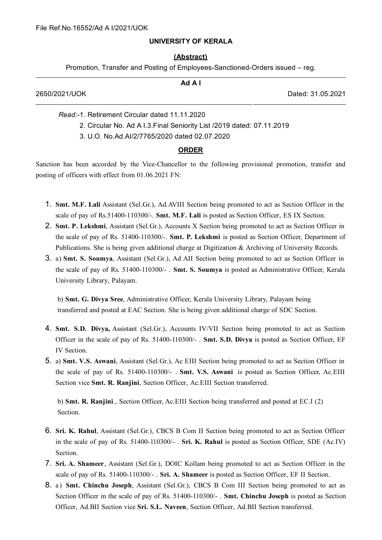## **UNIVERSITY OF KERALA**

## **(Abstract)**

Promotion, Transfer and Posting of Employees-Sanctioned-Orders issued – reg.

| Ad A I                                                                 |                   |
|------------------------------------------------------------------------|-------------------|
| 2650/2021/UOK                                                          | Dated: 31.05.2021 |
| Read:-1. Retirement Circular dated 11.11.2020                          |                   |
| 2. Circular No. Ad A I.3. Final Seniority List /2019 dated: 07.11.2019 |                   |

3. U.O. No.Ad.AI/2/7765/2020 dated 02.07.2020

## **ORDER**

Sanction has been accorded by the Vice-Chancellor to the following provisional promotion, transfer and posting of officers with effect from 01.06.2021 FN:

- 1. **Smt. M.F. Lali** Assistant (Sel.Gr.), Ad.AVIII Section being promoted to act as Section Officer in the scale of pay of Rs.51400-110300/-. **Smt. M.F. Lali** is posted as Section Officer, ES IX Section.
- 2. **Smt. P. Lekshmi**, Assistant (Sel.Gr.), Accounts X Section being promoted to act as Section Officer in the scale of pay of Rs. 51400-110300/-. **Smt. P. Lekshmi** is posted as Section Officer, Department of Publications. She is being given additional charge at Digitization & Archiving of University Records.
- 3. a) **Smt. S. Soumya**, Assistant (Sel.Gr.), Ad AII Section being promoted to act as Section Officer in the scale of pay of Rs. 51400-110300/- . **Smt. S. Soumya** is posted as Administrative Officer, Kerala University Library, Palayam.

b) **Smt. G. Divya Sree**, Administrative Officer, Kerala University Library, Palayam being transferred and posted at EAC Section. She is being given additional charge of SDC Section.

- 4. **Smt. S.D. Divya,** Assistant (Sel.Gr.), Accounts IV/VII Section being promoted to act as Section Officer in the scale of pay of Rs. 51400-110300/- . **Smt. S.D. Divya** is posted as Section Officer, EF IV Section.
- 5. a) **Smt. V.S. Aswani**, Assistant (Sel.Gr.), Ac EIII Section being promoted to act as Section Officer in the scale of pay of Rs. 51400-110300/- . **Smt. V.S. Aswani** is posted as Section Officer, Ac.EIII Section vice **Smt. R. Ranjini**, Section Officer, Ac.EIII Section transferred.

b) **Smt. R. Ranjini**., Section Officer, Ac.EIII Section being transferred and posted at EC.I (2) Section.

- 6. **Sri. K. Rahul**, Assistant (Sel.Gr.), CBCS B Com II Section being promoted to act as Section Officer in the scale of pay of Rs. 51400-110300/- . **Sri. K. Rahul** is posted as Section Officer, SDE (Ac.IV) Section.
- 7. **Sri. A. Shameer**, Assistant (Sel.Gr.), DOIC Kollam being promoted to act as Section Officer in the scale of pay of Rs. 51400-110300/- . **Sri. A. Shameer** is posted as Section Officer, EF II Section.
- 8. a ) **Smt. Chinchu Joseph**, Assistant (Sel.Gr.), CBCS B Com III Section being promoted to act as Section Officer in the scale of pay of Rs. 51400-110300/- . **Smt. Chinchu Joseph** is posted as Section Officer, Ad.BII Section vice **Sri. S.L. Naveen**, Section Officer, Ad.BII Section transferred.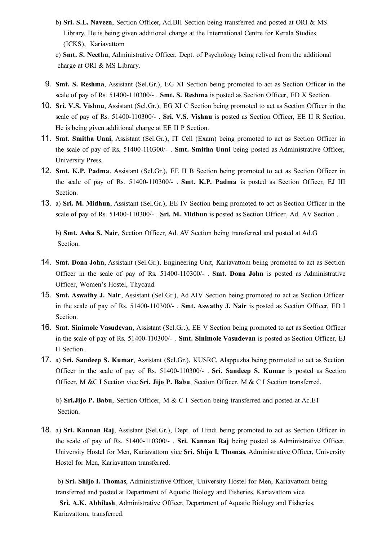b) **Sri. S.L. Naveen**, Section Officer, Ad.BII Section being transferred and posted at ORI & MS Library. He is being given additional charge at the International Centre for Kerala Studies (ICKS), Kariavattom

c) **Smt. S. Neethu**, Administrative Officer, Dept. of Psychology being relived from the additional charge at ORI & MS Library.

- 9. **Smt. S. Reshma**, Assistant (Sel.Gr.), EG XI Section being promoted to act as Section Officer in the scale of pay of Rs. 51400-110300/- . **Smt. S. Reshma** is posted as Section Officer, ED X Section.
- 10. **Sri. V.S. Vishnu**, Assistant (Sel.Gr.), EG XI C Section being promoted to act as Section Officer in the scale of pay of Rs. 51400-110300/- . **Sri. V.S. Vishnu** is posted as Section Officer, EE II R Section. He is being given additional charge at EE II P Section.
- 11. **Smt. Smitha Unni**, Assistant (Sel.Gr.), IT Cell (Exam) being promoted to act as Section Officer in the scale of pay of Rs. 51400-110300/- . **Smt. Smitha Unni** being posted as Administrative Officer, University Press.
- 12. **Smt. K.P. Padma**, Assistant (Sel.Gr.), EE II B Section being promoted to act as Section Officer in the scale of pay of Rs. 51400-110300/- . **Smt. K.P. Padma** is posted as Section Officer, EJ III Section.
- 13. a) **Sri. M. Midhun**, Assistant (Sel.Gr.), EE IV Section being promoted to act as Section Officer in the scale of pay of Rs. 51400-110300/- . **Sri. M. Midhun** is posted as Section Officer, Ad. AV Section .

b) **Smt. Asha S. Nair**, Section Officer, Ad. AV Section being transferred and posted at Ad.G Section.

- 14. **Smt. Dona John**, Assistant (Sel.Gr.), Engineering Unit, Kariavattom being promoted to act as Section Officer in the scale of pay of Rs. 51400-110300/- . **Smt. Dona John** is posted as Administrative Officer, Women's Hostel, Thycaud.
- 15. **Smt. Aswathy J. Nair**, Assistant (Sel.Gr.), Ad AIV Section being promoted to act as Section Officer in the scale of pay of Rs. 51400-110300/- . **Smt. Aswathy J. Nair** is posted as Section Officer, ED I Section.
- 16. **Smt. Sinimole Vasudevan**, Assistant (Sel.Gr.), EE V Section being promoted to act as Section Officer in the scale of pay of Rs. 51400-110300/- . **Smt. Sinimole Vasudevan** is posted as Section Officer, EJ II Section .
- 17. a) **Sri. Sandeep S. Kumar**, Assistant (Sel.Gr.), KUSRC, Alappuzha being promoted to act as Section Officer in the scale of pay of Rs. 51400-110300/- . **Sri. Sandeep S. Kumar** is posted as Section Officer, M &C I Section vice **Sri. Jijo P. Babu**, Section Officer, M & C I Section transferred.

b) **Sri.Jijo P. Babu**, Section Officer, M & C I Section being transferred and posted at Ac.E1 Section.

18. a) **Sri. Kannan Raj**, Assistant (Sel.Gr.), Dept. of Hindi being promoted to act as Section Officer in the scale of pay of Rs. 51400-110300/- . **Sri. Kannan Raj** being posted as Administrative Officer, University Hostel for Men, Kariavattom vice **Sri. Shijo I. Thomas**, Administrative Officer, University Hostel for Men, Kariavattom transferred.

b) **Sri. Shijo I. Thomas**, Administrative Officer, University Hostel for Men, Kariavattom being transferred and posted at Department of Aquatic Biology and Fisheries, Kariavattom vice

**Sri. A.K. Abhilash**, Administrative Officer, Department of Aquatic Biology and Fisheries, Kariavattom, transferred.